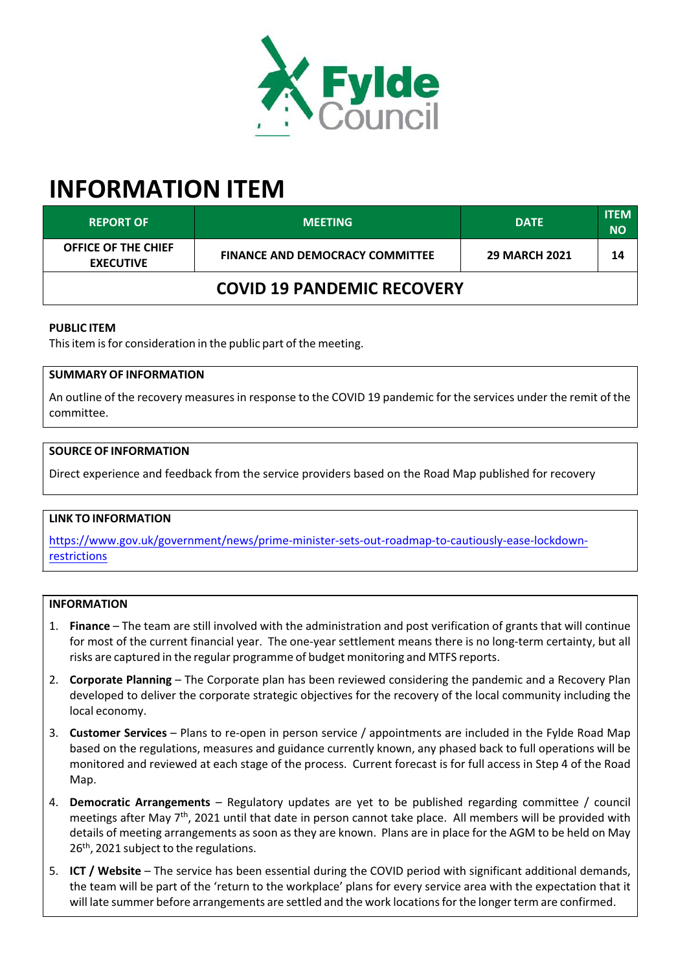

# **INFORMATION ITEM**

| <b>REPORT OF</b>                               | <b>MEETING</b>                         | <b>DATE</b>          | <b>ITEM</b><br><b>NO</b> |
|------------------------------------------------|----------------------------------------|----------------------|--------------------------|
| <b>OFFICE OF THE CHIEF</b><br><b>EXECUTIVE</b> | <b>FINANCE AND DEMOCRACY COMMITTEE</b> | <b>29 MARCH 2021</b> | 14                       |
| <b>COVID 19 PANDEMIC RECOVERY</b>              |                                        |                      |                          |

## **PUBLIC ITEM**

This item is for consideration in the public part of the meeting.

# **SUMMARY OF INFORMATION**

An outline of the recovery measuresin response to the COVID 19 pandemic for the services under the remit of the committee.

#### **SOURCE OF INFORMATION**

Direct experience and feedback from the service providers based on the Road Map published for recovery

#### **LINK TO INFORMATION**

https://www.gov.uk/government/news/prime-minister-sets-out-roadmap-to-cautiously-ease-lockdown[restrictions](https://www.gov.uk/government/news/prime-minister-sets-out-roadmap-to-cautiously-ease-lockdown-restrictions)

#### **INFORMATION**

- 1. **Finance** The team are still involved with the administration and post verification of grants that will continue for most of the current financial year. The one-year settlement means there is no long-term certainty, but all risks are captured in the regular programme of budget monitoring and MTFS reports.
- 2. **Corporate Planning** The Corporate plan has been reviewed considering the pandemic and a Recovery Plan developed to deliver the corporate strategic objectives for the recovery of the local community including the local economy.
- 3. **Customer Services** Plans to re‐open in person service / appointments are included in the Fylde Road Map based on the regulations, measures and guidance currently known, any phased back to full operations will be monitored and reviewed at each stage of the process. Current forecast is for full access in Step 4 of the Road Map.
- 4. **Democratic Arrangements** Regulatory updates are yet to be published regarding committee / council meetings after May 7<sup>th</sup>, 2021 until that date in person cannot take place. All members will be provided with details of meeting arrangements assoon asthey are known. Plans are in place for the AGM to be held on May 26<sup>th</sup>, 2021 subject to the regulations.
- 5. **ICT / Website** The service has been essential during the COVID period with significant additional demands, the team will be part of the 'return to the workplace' plans for every service area with the expectation that it will late summer before arrangements are settled and the work locations for the longer term are confirmed.